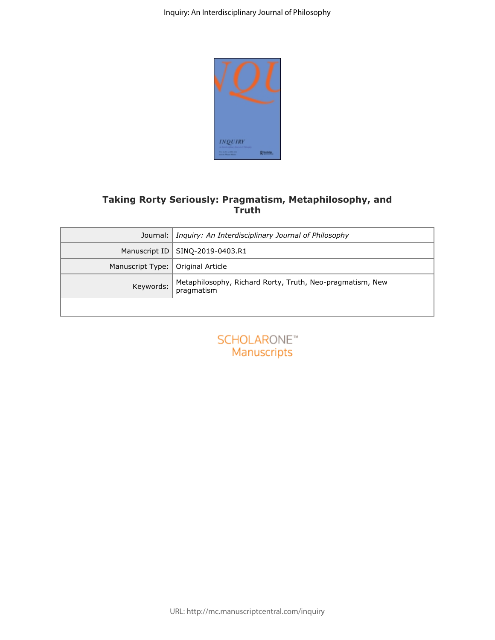

# **Taking Rorty Seriously: Pragmatism, Metaphilosophy, and Truth**

| Taking Rorty Seriously: Pragmatism, Metaphilosophy, and<br><b>Truth</b> |                                                                         |  |
|-------------------------------------------------------------------------|-------------------------------------------------------------------------|--|
| Journal:                                                                | Inquiry: An Interdisciplinary Journal of Philosophy                     |  |
| Manuscript ID                                                           | SINQ-2019-0403.R1                                                       |  |
| Manuscript Type:                                                        | Original Article                                                        |  |
| Keywords:                                                               | Metaphilosophy, Richard Rorty, Truth, Neo-pragmatism, New<br>pragmatism |  |
|                                                                         |                                                                         |  |
| <b>SCHOLARONE™</b><br>Manuscripts                                       |                                                                         |  |
|                                                                         |                                                                         |  |
|                                                                         |                                                                         |  |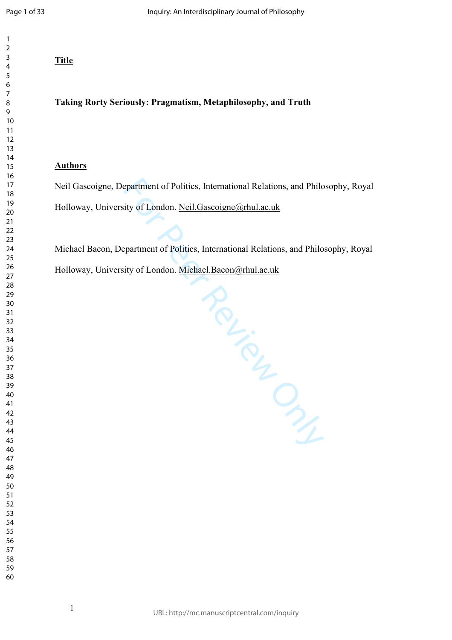$\mathbf{1}$  $\overline{2}$  $\overline{3}$  $\overline{4}$  $\overline{7}$ 

# **Title**

**Taking Rorty Seriously: Pragmatism, Metaphilosophy, and Truth**

# **Authors**

Neil Gascoigne, Department of Politics, International Relations, and Philosophy, Royal Holloway, University of London. Neil.Gascoigne@rhul.ac.uk

France Review Only Michael Bacon, Department of Politics, International Relations, and Philosophy, Royal Holloway, University of London. Michael.Bacon@rhul.ac.uk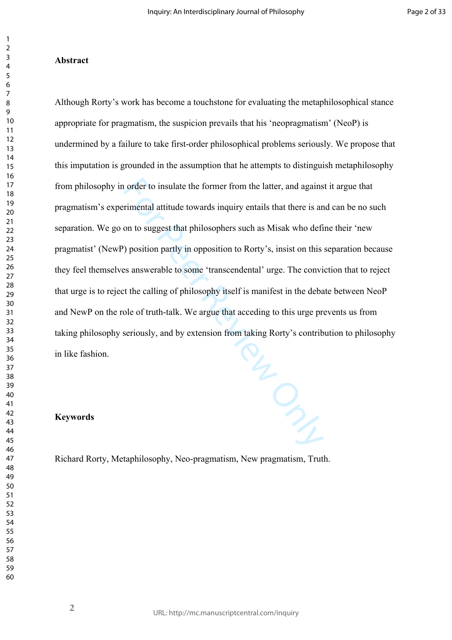#### **Abstract**

THE POST Although Rorty's work has become a touchstone for evaluating the metaphilosophical stance appropriate for pragmatism, the suspicion prevails that his 'neopragmatism' (NeoP) is undermined by a failure to take first-order philosophical problems seriously. We propose that this imputation is grounded in the assumption that he attempts to distinguish metaphilosophy from philosophy in order to insulate the former from the latter, and against it argue that pragmatism's experimental attitude towards inquiry entails that there is and can be no such separation. We go on to suggest that philosophers such as Misak who define their 'new pragmatist' (NewP) position partly in opposition to Rorty's, insist on this separation because they feel themselves answerable to some 'transcendental' urge. The conviction that to reject that urge is to reject the calling of philosophy itself is manifest in the debate between NeoP and NewP on the role of truth-talk. We argue that acceding to this urge prevents us from taking philosophy seriously, and by extension from taking Rorty's contribution to philosophy in like fashion.

#### **Keywords**

Richard Rorty, Metaphilosophy, Neo-pragmatism, New pragmatism, Truth.

 $\mathbf{1}$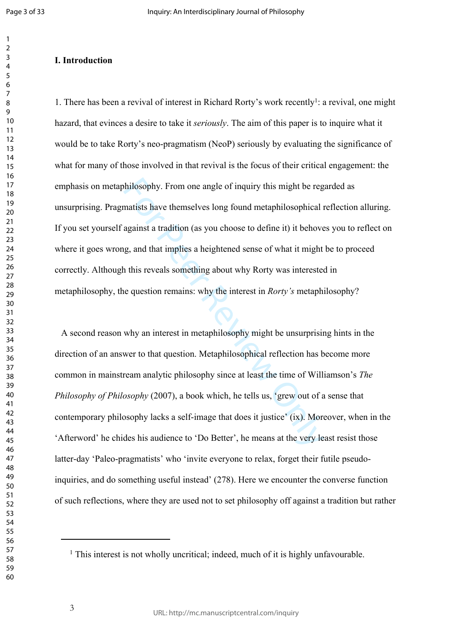$\mathbf{1}$  $\overline{2}$  $\overline{3}$  $\overline{4}$  $\overline{7}$ 

## **I. Introduction**

1. There has been a revival of interest in Richard Rorty's work recently 1 : a revival, one might hazard, that evinces a desire to take it *seriously*. The aim of this paper is to inquire what it would be to take Rorty's neo-pragmatism (NeoP) seriously by evaluating the significance of what for many of those involved in that revival is the focus of their critical engagement: the emphasis on metaphilosophy. From one angle of inquiry this might be regarded as unsurprising. Pragmatists have themselves long found metaphilosophical reflection alluring. If you set yourself against a tradition (as you choose to define it) it behoves you to reflect on where it goes wrong, and that implies a heightened sense of what it might be to proceed correctly. Although this reveals something about why Rorty was interested in metaphilosophy, the question remains: why the interest in *Rorty's* metaphilosophy?

hilosophy. From one angle of inquiry this might be reg<br>matists have themselves long found metaphilosophical r<br>against a tradition (as you choose to define it) it behove<br>g, and that implies a heightened sense of what it mig A second reason why an interest in metaphilosophy might be unsurprising hints in the direction of an answer to that question. Metaphilosophical reflection has become more common in mainstream analytic philosophy since at least the time of Williamson's *The Philosophy of Philosophy* (2007), a book which, he tells us, 'grew out of a sense that contemporary philosophy lacks a self-image that does it justice' (ix). Moreover, when in the 'Afterword' he chides his audience to 'Do Better', he means at the very least resist those latter-day 'Paleo-pragmatists' who 'invite everyone to relax, forget their futile pseudoinquiries, and do something useful instead' (278). Here we encounter the converse function of such reflections, where they are used not to set philosophy off against a tradition but rather

<sup>&</sup>lt;sup>1</sup> This interest is not wholly uncritical; indeed, much of it is highly unfavourable.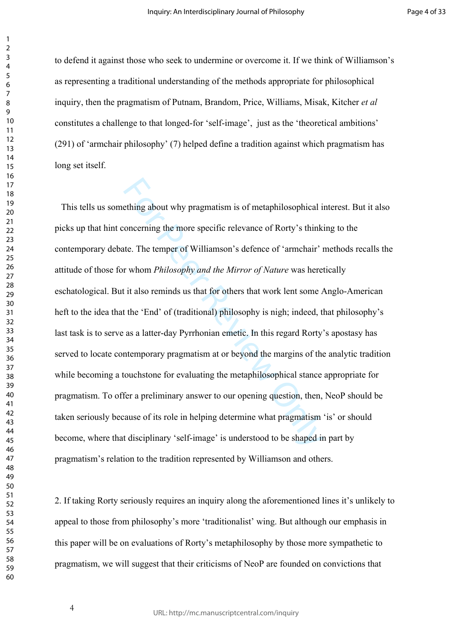to defend it against those who seek to undermine or overcome it. If we think of Williamson's as representing a traditional understanding of the methods appropriate for philosophical inquiry, then the pragmatism of Putnam, Brandom, Price, Williams, Misak, Kitcher *et al* constitutes a challenge to that longed-for 'self-image', just as the 'theoretical ambitions' (291) of 'armchair philosophy' (7) helped define a tradition against which pragmatism has long set itself.

ething about why pragmatism is of metaphilosophical in<br>oncerning the more specific relevance of Rorty's thinki<br>te. The temper of Williamson's defence of 'armchair' i<br>r whom *Philosophy and the Mirror of Nature* was heret<br>i This tells us something about why pragmatism is of metaphilosophical interest. But it also picks up that hint concerning the more specific relevance of Rorty's thinking to the contemporary debate. The temper of Williamson's defence of 'armchair' methods recalls the attitude of those for whom *Philosophy and the Mirror of Nature* was heretically eschatological. But it also reminds us that for others that work lent some Anglo-American heft to the idea that the 'End' of (traditional) philosophy is nigh; indeed, that philosophy's last task is to serve as a latter-day Pyrrhonian emetic. In this regard Rorty's apostasy has served to locate contemporary pragmatism at or beyond the margins of the analytic tradition while becoming a touchstone for evaluating the metaphilosophical stance appropriate for pragmatism. To offer a preliminary answer to our opening question, then, NeoP should be taken seriously because of its role in helping determine what pragmatism 'is' or should become, where that disciplinary 'self-image' is understood to be shaped in part by pragmatism's relation to the tradition represented by Williamson and others.

2. If taking Rorty seriously requires an inquiry along the aforementioned lines it's unlikely to appeal to those from philosophy's more 'traditionalist' wing. But although our emphasis in this paper will be on evaluations of Rorty's metaphilosophy by those more sympathetic to pragmatism, we will suggest that their criticisms of NeoP are founded on convictions that

 $\mathbf{1}$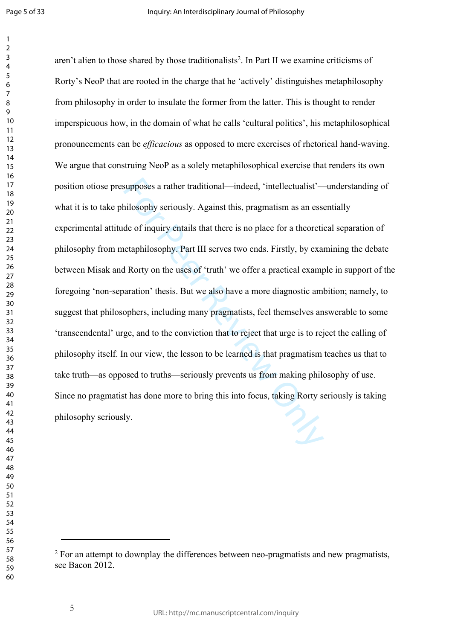supposes a rather traditional—indeed, 'intellectualist'—<br>iilosophy seriously. Against this, pragmatism as an esse<br>de of inquiry entails that there is no place for a theoretic<br>tetaphilosophy. Part III serves two ends. First aren't alien to those shared by those traditionalists 2 . In Part II we examine criticisms of Rorty's NeoP that are rooted in the charge that he 'actively' distinguishes metaphilosophy from philosophy in order to insulate the former from the latter. This is thought to render imperspicuous how, in the domain of what he calls 'cultural politics', his metaphilosophical pronouncements can be *efficacious* as opposed to mere exercises of rhetorical hand-waving. We argue that construing NeoP as a solely metaphilosophical exercise that renders its own position otiose presupposes a rather traditional—indeed, 'intellectualist'—understanding of what it is to take philosophy seriously. Against this, pragmatism as an essentially experimental attitude of inquiry entails that there is no place for a theoretical separation of philosophy from metaphilosophy. Part III serves two ends. Firstly, by examining the debate between Misak and Rorty on the uses of 'truth' we offer a practical example in support of the foregoing 'non-separation' thesis. But we also have a more diagnostic ambition; namely, to suggest that philosophers, including many pragmatists, feel themselves answerable to some 'transcendental' urge, and to the conviction that to reject that urge is to reject the calling of philosophy itself. In our view, the lesson to be learned is that pragmatism teaches us that to take truth—as opposed to truths—seriously prevents us from making philosophy of use. Since no pragmatist has done more to bring this into focus, taking Rorty seriously is taking philosophy seriously.

<sup>&</sup>lt;sup>2</sup> For an attempt to downplay the differences between neo-pragmatists and new pragmatists, see Bacon 2012.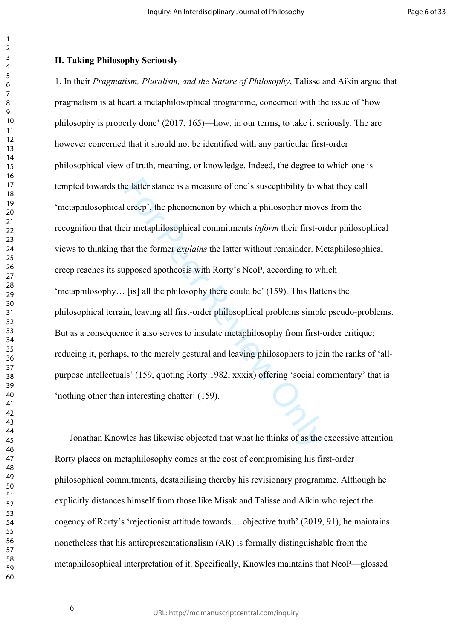# **II. Taking Philosophy Seriously**

is a measure of one's susceptibility to where all the energy, the phenomenon by which a philosopher move that the former explains the latter without remainder. Moreonlead and the former explains the latter without remainde 1. In their *Pragmatism, Pluralism, and the Nature of Philosophy*, Talisse and Aikin argue that pragmatism is at heart a metaphilosophical programme, concerned with the issue of 'how philosophy is properly done' (2017, 165)—how, in our terms, to take it seriously. The are however concerned that it should not be identified with any particular first-order philosophical view of truth, meaning, or knowledge. Indeed, the degree to which one is tempted towards the latter stance is a measure of one's susceptibility to what they call 'metaphilosophical creep', the phenomenon by which a philosopher moves from the recognition that their metaphilosophical commitments *inform* their first-order philosophical views to thinking that the former *explains* the latter without remainder. Metaphilosophical creep reaches its supposed apotheosis with Rorty's NeoP, according to which 'metaphilosophy… [is] all the philosophy there could be' (159). This flattens the philosophical terrain, leaving all first-order philosophical problems simple pseudo-problems. But as a consequence it also serves to insulate metaphilosophy from first-order critique; reducing it, perhaps, to the merely gestural and leaving philosophers to join the ranks of 'allpurpose intellectuals' (159, quoting Rorty 1982, xxxix) offering 'social commentary' that is 'nothing other than interesting chatter' (159).

Jonathan Knowles has likewise objected that what he thinks of as the excessive attention Rorty places on metaphilosophy comes at the cost of compromising his first-order philosophical commitments, destabilising thereby his revisionary programme. Although he explicitly distances himself from those like Misak and Talisse and Aikin who reject the cogency of Rorty's 'rejectionist attitude towards… objective truth' (2019, 91), he maintains nonetheless that his antirepresentationalism (AR) is formally distinguishable from the metaphilosophical interpretation of it. Specifically, Knowles maintains that NeoP—glossed

 $\mathbf{1}$  $\overline{2}$  $\overline{3}$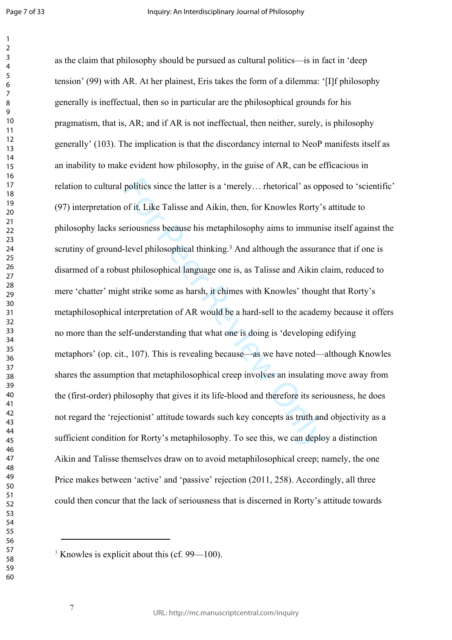politics since the latter is a 'merely... rhetorical' as opport it. Like Talisse and Aikin, then, for Knowles Rorty's eriousness because his metaphilosophy aims to immuni-level philosophical thinking.<sup>3</sup> And although the a as the claim that philosophy should be pursued as cultural politics—is in fact in 'deep tension' (99) with AR. At her plainest, Eris takes the form of a dilemma: '[I]f philosophy generally is ineffectual, then so in particular are the philosophical grounds for his pragmatism, that is, AR; and if AR is not ineffectual, then neither, surely, is philosophy generally' (103). The implication is that the discordancy internal to NeoP manifests itself as an inability to make evident how philosophy, in the guise of AR, can be efficacious in relation to cultural politics since the latter is a 'merely… rhetorical' as opposed to 'scientific' (97) interpretation of it. Like Talisse and Aikin, then, for Knowles Rorty's attitude to philosophy lacks seriousness because his metaphilosophy aims to immunise itself against the scrutiny of ground-level philosophical thinking.<sup>3</sup> And although the assurance that if one is disarmed of a robust philosophical language one is, as Talisse and Aikin claim, reduced to mere 'chatter' might strike some as harsh, it chimes with Knowles' thought that Rorty's metaphilosophical interpretation of AR would be a hard-sell to the academy because it offers no more than the self-understanding that what one is doing is 'developing edifying metaphors' (op. cit., 107). This is revealing because—as we have noted—although Knowles shares the assumption that metaphilosophical creep involves an insulating move away from the (first-order) philosophy that gives it its life-blood and therefore its seriousness, he does not regard the 'rejectionist' attitude towards such key concepts as truth and objectivity as a sufficient condition for Rorty's metaphilosophy. To see this, we can deploy a distinction Aikin and Talisse themselves draw on to avoid metaphilosophical creep; namely, the one Price makes between 'active' and 'passive' rejection (2011, 258). Accordingly, all three could then concur that the lack of seriousness that is discerned in Rorty's attitude towards

<sup>&</sup>lt;sup>3</sup> Knowles is explicit about this (cf. 99—100).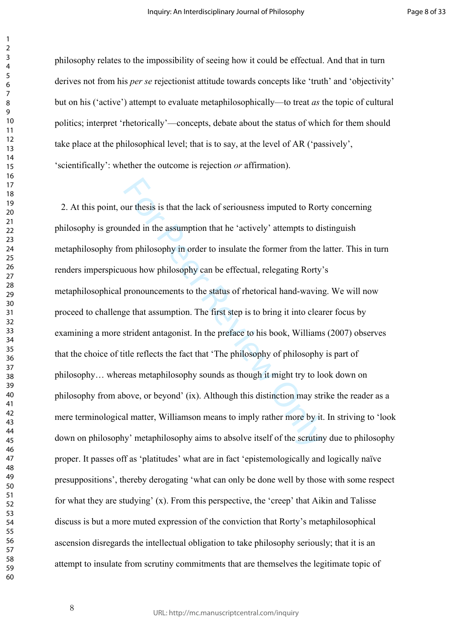philosophy relates to the impossibility of seeing how it could be effectual. And that in turn derives not from his *per se* rejectionist attitude towards concepts like 'truth' and 'objectivity' but on his ('active') attempt to evaluate metaphilosophically—to treat *as* the topic of cultural politics; interpret 'rhetorically'—concepts, debate about the status of which for them should take place at the philosophical level; that is to say, at the level of AR ('passively', 'scientifically': whether the outcome is rejection *or* affirmation).

our thesis is that the lack of seriousness imputed to Rort<br>anded in the assumption that he 'actively' attempts to dis<br>om philosophy in order to insulate the former from the l<br>ous how philosophy can be effectual, relegating 2. At this point, our thesis is that the lack of seriousness imputed to Rorty concerning philosophy is grounded in the assumption that he 'actively' attempts to distinguish metaphilosophy from philosophy in order to insulate the former from the latter. This in turn renders imperspicuous how philosophy can be effectual, relegating Rorty's metaphilosophical pronouncements to the status of rhetorical hand-waving. We will now proceed to challenge that assumption. The first step is to bring it into clearer focus by examining a more strident antagonist. In the preface to his book, Williams (2007) observes that the choice of title reflects the fact that 'The philosophy of philosophy is part of philosophy… whereas metaphilosophy sounds as though it might try to look down on philosophy from above, or beyond' (ix). Although this distinction may strike the reader as a mere terminological matter, Williamson means to imply rather more by it. In striving to 'look down on philosophy' metaphilosophy aims to absolve itself of the scrutiny due to philosophy proper. It passes off as 'platitudes' what are in fact 'epistemologically and logically naïve presuppositions', thereby derogating 'what can only be done well by those with some respect for what they are studying' (x). From this perspective, the 'creep' that Aikin and Talisse discuss is but a more muted expression of the conviction that Rorty's metaphilosophical ascension disregards the intellectual obligation to take philosophy seriously; that it is an attempt to insulate from scrutiny commitments that are themselves the legitimate topic of

 $\mathbf{1}$  $\overline{2}$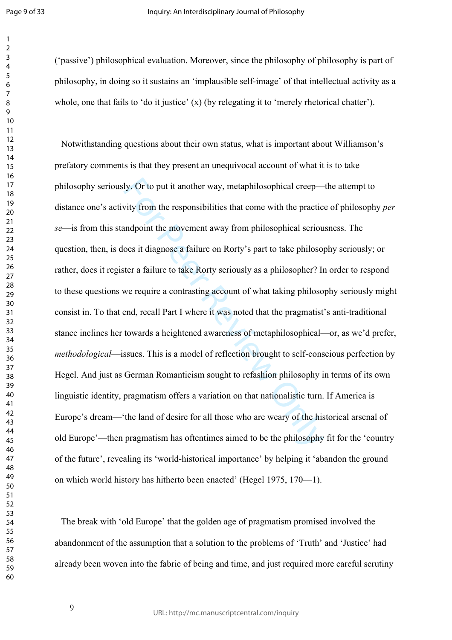Page 9 of 33

 $\mathbf{1}$  $\overline{2}$  $\overline{4}$  $\overline{7}$ 

('passive') philosophical evaluation. Moreover, since the philosophy of philosophy is part of philosophy, in doing so it sustains an 'implausible self-image' of that intellectual activity as a whole, one that fails to 'do it justice' (x) (by relegating it to 'merely rhetorical chatter').

ly. Or to put it another way, metaphilosophical creep—<br>vity from the responsibilities that come with the practic<br>andpoint the movement away from philosophical seriou<br>oes it diagnose a failure on Rorty's part to take philos Notwithstanding questions about their own status, what is important about Williamson's prefatory comments is that they present an unequivocal account of what it is to take philosophy seriously. Or to put it another way, metaphilosophical creep—the attempt to distance one's activity from the responsibilities that come with the practice of philosophy *per se*—is from this standpoint the movement away from philosophical seriousness. The question, then, is does it diagnose a failure on Rorty's part to take philosophy seriously; or rather, does it register a failure to take Rorty seriously as a philosopher? In order to respond to these questions we require a contrasting account of what taking philosophy seriously might consist in. To that end, recall Part I where it was noted that the pragmatist's anti-traditional stance inclines her towards a heightened awareness of metaphilosophical—or, as we'd prefer, *methodological*—issues. This is a model of reflection brought to self-conscious perfection by Hegel. And just as German Romanticism sought to refashion philosophy in terms of its own linguistic identity, pragmatism offers a variation on that nationalistic turn. If America is Europe's dream—'the land of desire for all those who are weary of the historical arsenal of old Europe'—then pragmatism has oftentimes aimed to be the philosophy fit for the 'country of the future', revealing its 'world-historical importance' by helping it 'abandon the ground on which world history has hitherto been enacted' (Hegel 1975, 170—1).

The break with 'old Europe' that the golden age of pragmatism promised involved the abandonment of the assumption that a solution to the problems of 'Truth' and 'Justice' had already been woven into the fabric of being and time, and just required more careful scrutiny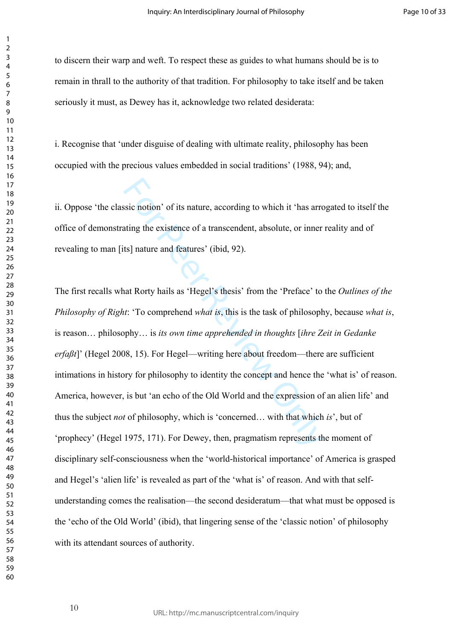to discern their warp and weft. To respect these as guides to what humans should be is to remain in thrall to the authority of that tradition. For philosophy to take itself and be taken seriously it must, as Dewey has it, acknowledge two related desiderata:

i. Recognise that 'under disguise of dealing with ultimate reality, philosophy has been occupied with the precious values embedded in social traditions' (1988, 94); and,

ii. Oppose 'the classic notion' of its nature, according to which it 'has arrogated to itself the office of demonstrating the existence of a transcendent, absolute, or inner reality and of revealing to man [its] nature and features' (ibid, 92).

sic notion' of its nature, according to which it 'has arreating the existence of a transcendent, absolute, or inner ts] nature and features' (ibid, 92).<br>
hat Rorty hails as 'Hegel's thesis' from the 'Preface' to <br> *t*: 'To The first recalls what Rorty hails as 'Hegel's thesis' from the 'Preface' to the *Outlines of the Philosophy of Right*: 'To comprehend *what is*, this is the task of philosophy, because *what is*, is reason… philosophy… is *its own time apprehended in thoughts* [*ihre Zeit in Gedanke erfaßt*]' (Hegel 2008, 15). For Hegel—writing here about freedom—there are sufficient intimations in history for philosophy to identity the concept and hence the 'what is' of reason. America, however, is but 'an echo of the Old World and the expression of an alien life' and thus the subject *not* of philosophy, which is 'concerned… with that which *is*', but of 'prophecy' (Hegel 1975, 171). For Dewey, then, pragmatism represents the moment of disciplinary self-consciousness when the 'world-historical importance' of America is grasped and Hegel's 'alien life' is revealed as part of the 'what is' of reason. And with that selfunderstanding comes the realisation—the second desideratum—that what must be opposed is the 'echo of the Old World' (ibid), that lingering sense of the 'classic notion' of philosophy with its attendant sources of authority.

 $\mathbf{1}$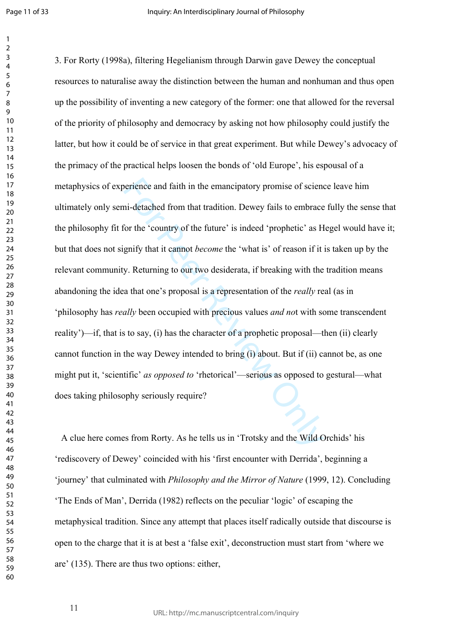$\mathbf{1}$  $\overline{2}$ 

betience and faith in the emancipatory promise of science<br>
in-detached from that tradition. Dewey fails to embrace<br>
for the 'country of the future' is indeed 'prophetic' as H<br>
gnify that it cannot *become* the 'what is' of 3. For Rorty (1998a), filtering Hegelianism through Darwin gave Dewey the conceptual resources to naturalise away the distinction between the human and nonhuman and thus open up the possibility of inventing a new category of the former: one that allowed for the reversal of the priority of philosophy and democracy by asking not how philosophy could justify the latter, but how it could be of service in that great experiment. But while Dewey's advocacy of the primacy of the practical helps loosen the bonds of 'old Europe', his espousal of a metaphysics of experience and faith in the emancipatory promise of science leave him ultimately only semi-detached from that tradition. Dewey fails to embrace fully the sense that the philosophy fit for the 'country of the future' is indeed 'prophetic' as Hegel would have it; but that does not signify that it cannot *become* the 'what is' of reason if it is taken up by the relevant community. Returning to our two desiderata, if breaking with the tradition means abandoning the idea that one's proposal is a representation of the *really* real (as in 'philosophy has *really* been occupied with precious values *and no*t with some transcendent reality')—if, that is to say, (i) has the character of a prophetic proposal—then (ii) clearly cannot function in the way Dewey intended to bring (i) about. But if (ii) cannot be, as one might put it, 'scientific' *as opposed to* 'rhetorical'—serious as opposed to gestural—what does taking philosophy seriously require?

A clue here comes from Rorty. As he tells us in 'Trotsky and the Wild Orchids' his 'rediscovery of Dewey' coincided with his 'first encounter with Derrida', beginning a 'journey' that culminated with *Philosophy and the Mirror of Nature* (1999, 12). Concluding 'The Ends of Man', Derrida (1982) reflects on the peculiar 'logic' of escaping the metaphysical tradition. Since any attempt that places itself radically outside that discourse is open to the charge that it is at best a 'false exit', deconstruction must start from 'where we are' (135). There are thus two options: either,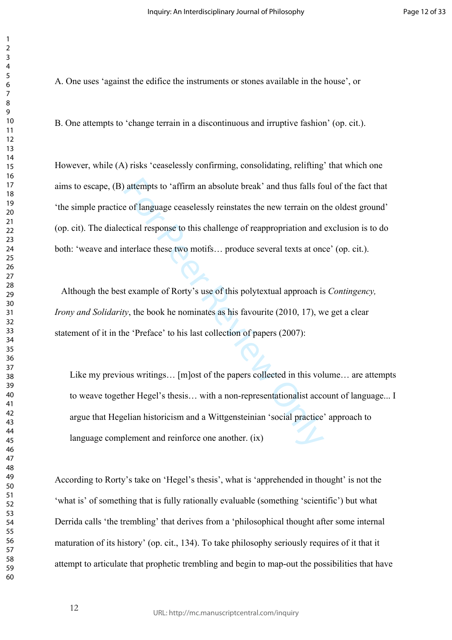A. One uses 'against the edifice the instruments or stones available in the house', or

B. One attempts to 'change terrain in a discontinuous and irruptive fashion' (op. cit.).

attempts to 'affirm an absolute break' and thus falls fo<br>
e of language ceaselessly reinstates the new terrain on t<br>
ctical response to this challenge of reappropriation and<br>
nterlace these two motifs... produce several te However, while (A) risks 'ceaselessly confirming, consolidating, relifting' that which one aims to escape, (B) attempts to 'affirm an absolute break' and thus falls foul of the fact that 'the simple practice of language ceaselessly reinstates the new terrain on the oldest ground' (op. cit). The dialectical response to this challenge of reappropriation and exclusion is to do both: 'weave and interlace these two motifs… produce several texts at once' (op. cit.).

Although the best example of Rorty's use of this polytextual approach is *Contingency, Irony and Solidarity*, the book he nominates as his favourite (2010, 17), we get a clear statement of it in the 'Preface' to his last collection of papers (2007):

Like my previous writings... [m]ost of the papers collected in this volume... are attempts to weave together Hegel's thesis… with a non-representationalist account of language... I argue that Hegelian historicism and a Wittgensteinian 'social practice' approach to language complement and reinforce one another. (ix)

According to Rorty's take on 'Hegel's thesis', what is 'apprehended in thought' is not the 'what is' of something that is fully rationally evaluable (something 'scientific') but what Derrida calls 'the trembling' that derives from a 'philosophical thought after some internal maturation of its history' (op. cit., 134). To take philosophy seriously requires of it that it attempt to articulate that prophetic trembling and begin to map-out the possibilities that have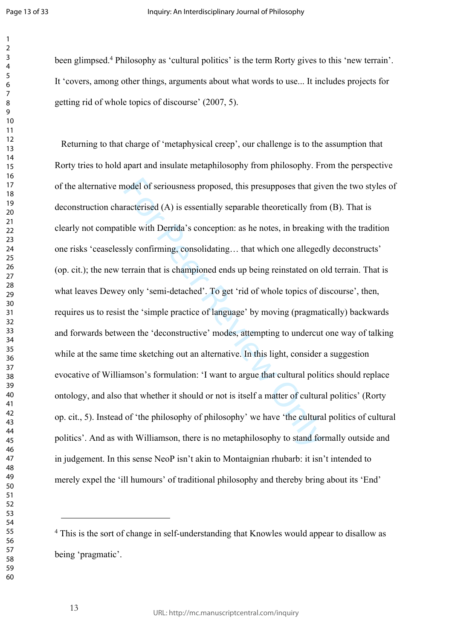$\mathbf{1}$  $\overline{2}$  $\overline{3}$  $\overline{4}$  $\overline{7}$ 

been glimpsed.<sup>4</sup> Philosophy as 'cultural politics' is the term Rorty gives to this 'new terrain'. It 'covers, among other things, arguments about what words to use... It includes projects for getting rid of whole topics of discourse' (2007, 5).

nodel of seriousness proposed, this presupposes that given and the syntemic meterically from alleged with Derrida's conception: as he notes, in breaking sly confirming, consolidating... that which one alleged lerrain that Returning to that charge of 'metaphysical creep', our challenge is to the assumption that Rorty tries to hold apart and insulate metaphilosophy from philosophy. From the perspective of the alternative model of seriousness proposed, this presupposes that given the two styles of deconstruction characterised (A) is essentially separable theoretically from (B). That is clearly not compatible with Derrida's conception: as he notes, in breaking with the tradition one risks 'ceaselessly confirming, consolidating… that which one allegedly deconstructs' (op. cit.); the new terrain that is championed ends up being reinstated on old terrain. That is what leaves Dewey only 'semi-detached'. To get 'rid of whole topics of discourse', then, requires us to resist the 'simple practice of language' by moving (pragmatically) backwards and forwards between the 'deconstructive' modes, attempting to undercut one way of talking while at the same time sketching out an alternative. In this light, consider a suggestion evocative of Williamson's formulation: 'I want to argue that cultural politics should replace ontology, and also that whether it should or not is itself a matter of cultural politics' (Rorty op. cit., 5). Instead of 'the philosophy of philosophy' we have 'the cultural politics of cultural politics'. And as with Williamson, there is no metaphilosophy to stand formally outside and in judgement. In this sense NeoP isn't akin to Montaignian rhubarb: it isn't intended to merely expel the 'ill humours' of traditional philosophy and thereby bring about its 'End'

<sup>&</sup>lt;sup>4</sup> This is the sort of change in self-understanding that Knowles would appear to disallow as being 'pragmatic'.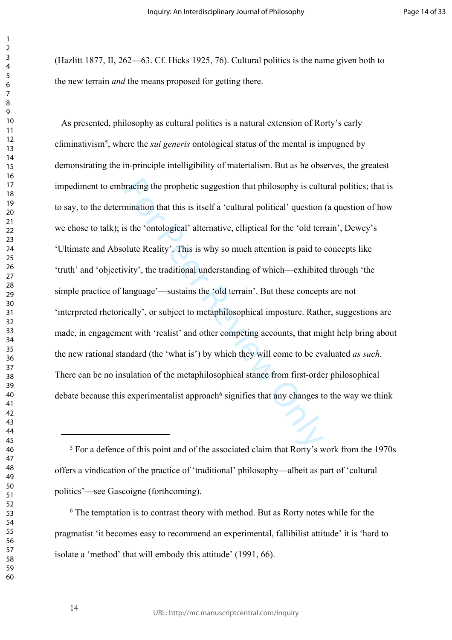(Hazlitt 1877, II, 262—63. Cf. Hicks 1925, 76). Cultural politics is the name given both to the new terrain *and* the means proposed for getting there.

between the prophetic suggestion that philosophy is cultured in this is itself a 'cultural political' question<br>s the 'ontological' alternative, elliptical for the 'old terror sheet 'ontological' alternative, elliptical for As presented, philosophy as cultural politics is a natural extension of Rorty's early eliminativism 5 , where the *sui generis* ontological status of the mental is impugned by demonstrating the in-principle intelligibility of materialism. But as he observes, the greatest impediment to embracing the prophetic suggestion that philosophy is cultural politics; that is to say, to the determination that this is itself a 'cultural political' question (a question of how we chose to talk); is the 'ontological' alternative, elliptical for the 'old terrain', Dewey's 'Ultimate and Absolute Reality'. This is why so much attention is paid to concepts like 'truth' and 'objectivity', the traditional understanding of which—exhibited through 'the simple practice of language'—sustains the 'old terrain'. But these concepts are not 'interpreted rhetorically', or subject to metaphilosophical imposture. Rather, suggestions are made, in engagement with 'realist' and other competing accounts, that might help bring about the new rational standard (the 'what is') by which they will come to be evaluated *as such*. There can be no insulation of the metaphilosophical stance from first-order philosophical debate because this experimentalist approach<sup>6</sup> signifies that any changes to the way we think

<sup>5</sup> For a defence of this point and of the associated claim that Rorty's work from the 1970s offers a vindication of the practice of 'traditional' philosophy—albeit as part of 'cultural politics'—see Gascoigne (forthcoming).

<sup>6</sup> The temptation is to contrast theory with method. But as Rorty notes while for the pragmatist 'it becomes easy to recommend an experimental, fallibilist attitude' it is 'hard to isolate a 'method' that will embody this attitude' (1991, 66).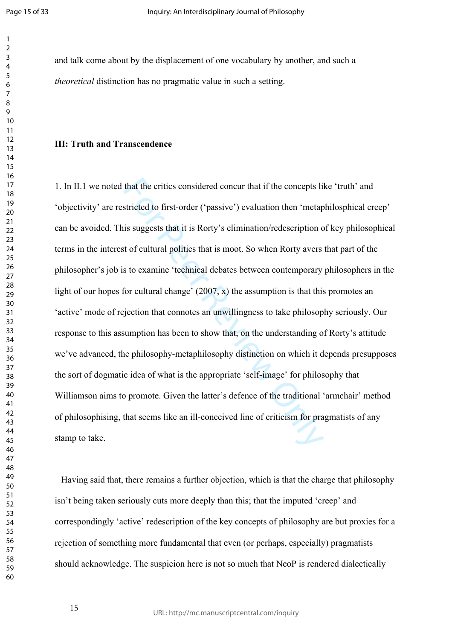$\mathbf{1}$  $\overline{2}$  $\overline{3}$  $\overline{4}$  $\overline{7}$ 

and talk come about by the displacement of one vocabulary by another, and such a *theoretical* distinction has no pragmatic value in such a setting.

### **III: Truth and Transcendence**

that the critics considered concur that if the concepts listricted to first-order ('passive') evaluation then 'metap<br>is suggests that it is Rorty's elimination/redescription of<br>it of cultural politics that is moot. So when 1. In II.1 we noted that the critics considered concur that if the concepts like 'truth' and 'objectivity' are restricted to first-order ('passive') evaluation then 'metaphilosphical creep' can be avoided. This suggests that it is Rorty's elimination/redescription of key philosophical terms in the interest of cultural politics that is moot. So when Rorty avers that part of the philosopher's job is to examine 'technical debates between contemporary philosophers in the light of our hopes for cultural change' (2007, x) the assumption is that this promotes an 'active' mode of rejection that connotes an unwillingness to take philosophy seriously. Our response to this assumption has been to show that, on the understanding of Rorty's attitude we've advanced, the philosophy-metaphilosophy distinction on which it depends presupposes the sort of dogmatic idea of what is the appropriate 'self-image' for philosophy that Williamson aims to promote. Given the latter's defence of the traditional 'armchair' method of philosophising, that seems like an ill-conceived line of criticism for pragmatists of any stamp to take.

Having said that, there remains a further objection, which is that the charge that philosophy isn't being taken seriously cuts more deeply than this; that the imputed 'creep' and correspondingly 'active' redescription of the key concepts of philosophy are but proxies for a rejection of something more fundamental that even (or perhaps, especially) pragmatists should acknowledge. The suspicion here is not so much that NeoP is rendered dialectically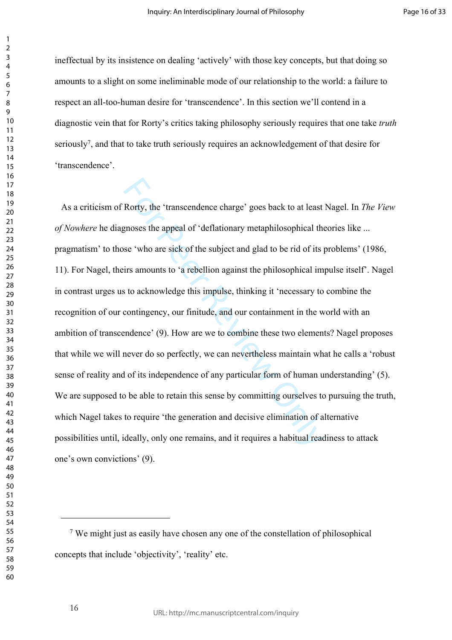ineffectual by its insistence on dealing 'actively' with those key concepts, but that doing so amounts to a slight on some ineliminable mode of our relationship to the world: a failure to respect an all-too-human desire for 'transcendence'. In this section we'll contend in a diagnostic vein that for Rorty's critics taking philosophy seriously requires that one take *truth* seriously<sup>7</sup>, and that to take truth seriously requires an acknowledgement of that desire for 'transcendence'.

Rorty, the 'transcendence charge' goes back to at least<br>gnoses the appeal of 'deflationary metaphilosophical these 'who are sick of the subject and glad to be rid of its j<br>irs amounts to 'a rebellion against the philosophi As a criticism of Rorty, the 'transcendence charge' goes back to at least Nagel. In *The View of Nowhere* he diagnoses the appeal of 'deflationary metaphilosophical theories like ... pragmatism' to those 'who are sick of the subject and glad to be rid of its problems' (1986, 11). For Nagel, theirs amounts to 'a rebellion against the philosophical impulse itself'. Nagel in contrast urges us to acknowledge this impulse, thinking it 'necessary to combine the recognition of our contingency, our finitude, and our containment in the world with an ambition of transcendence' (9). How are we to combine these two elements? Nagel proposes that while we will never do so perfectly, we can nevertheless maintain what he calls a 'robust sense of reality and of its independence of any particular form of human understanding' (5). We are supposed to be able to retain this sense by committing ourselves to pursuing the truth, which Nagel takes to require 'the generation and decisive elimination of alternative possibilities until, ideally, only one remains, and it requires a habitual readiness to attack one's own convictions' (9).

 We might just as easily have chosen any one of the constellation of philosophical concepts that include 'objectivity', 'reality' etc.

 $\mathbf{1}$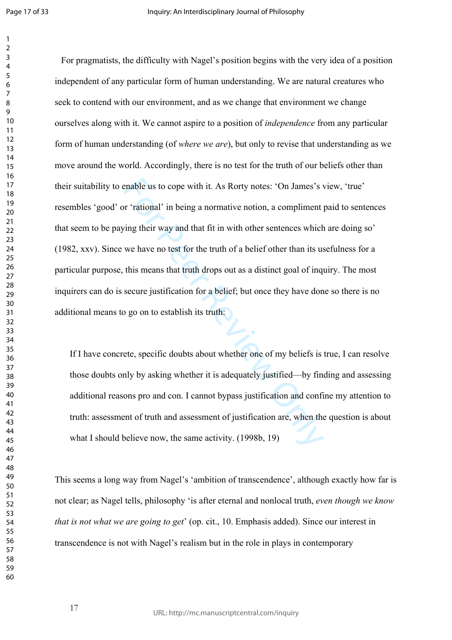$\mathbf{1}$  $\overline{2}$ 

enable us to cope with it. As Rorty notes: 'On James's v<br>
f 'rational' in being a normative notion, a compliment principal in being a normative notion, a compliment principal<br>
we have no test for the truth of a belief othe For pragmatists, the difficulty with Nagel's position begins with the very idea of a position independent of any particular form of human understanding. We are natural creatures who seek to contend with our environment, and as we change that environment we change ourselves along with it. We cannot aspire to a position of *independence* from any particular form of human understanding (of *where we are*), but only to revise that understanding as we move around the world. Accordingly, there is no test for the truth of our beliefs other than their suitability to enable us to cope with it. As Rorty notes: 'On James's view, 'true' resembles 'good' or 'rational' in being a normative notion, a compliment paid to sentences that seem to be paying their way and that fit in with other sentences which are doing so' (1982, xxv). Since we have no test for the truth of a belief other than its usefulness for a particular purpose, this means that truth drops out as a distinct goal of inquiry. The most inquirers can do is secure justification for a belief; but once they have done so there is no additional means to go on to establish its truth:

If I have concrete, specific doubts about whether one of my beliefs is true, I can resolve those doubts only by asking whether it is adequately justified—by finding and assessing additional reasons pro and con. I cannot bypass justification and confine my attention to truth: assessment of truth and assessment of justification are, when the question is about what I should believe now, the same activity. (1998b, 19)

This seems a long way from Nagel's 'ambition of transcendence', although exactly how far is not clear; as Nagel tells, philosophy 'is after eternal and nonlocal truth, *even though we know that is not what we are going to get*' (op. cit., 10. Emphasis added). Since our interest in transcendence is not with Nagel's realism but in the role in plays in contemporary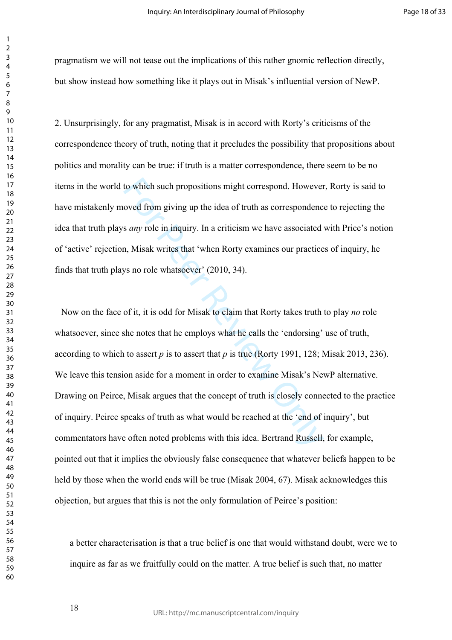pragmatism we will not tease out the implications of this rather gnomic reflection directly, but show instead how something like it plays out in Misak's influential version of NewP.

2. Unsurprisingly, for any pragmatist, Misak is in accord with Rorty's criticisms of the correspondence theory of truth, noting that it precludes the possibility that propositions about politics and morality can be true: if truth is a matter correspondence, there seem to be no items in the world to which such propositions might correspond. However, Rorty is said to have mistakenly moved from giving up the idea of truth as correspondence to rejecting the idea that truth plays *any* role in inquiry. In a criticism we have associated with Price's notion of 'active' rejection, Misak writes that 'when Rorty examines our practices of inquiry, he finds that truth plays no role whatsoever' (2010, 34).

to which such propositions might correspond. However<br>oved from giving up the idea of truth as correspondenc<br>s *any* role in inquiry. In a criticism we have associated<br>n, Misak writes that 'when Rorty examines our practice Now on the face of it, it is odd for Misak to claim that Rorty takes truth to play *no* role whatsoever, since she notes that he employs what he calls the 'endorsing' use of truth, according to which to assert  $p$  is to assert that  $p$  is true (Rorty 1991, 128; Misak 2013, 236). We leave this tension aside for a moment in order to examine Misak's NewP alternative. Drawing on Peirce, Misak argues that the concept of truth is closely connected to the practice of inquiry. Peirce speaks of truth as what would be reached at the 'end of inquiry', but commentators have often noted problems with this idea. Bertrand Russell, for example, pointed out that it implies the obviously false consequence that whatever beliefs happen to be held by those when the world ends will be true (Misak 2004, 67). Misak acknowledges this objection, but argues that this is not the only formulation of Peirce's position:

a better characterisation is that a true belief is one that would withstand doubt, were we to inquire as far as we fruitfully could on the matter. A true belief is such that, no matter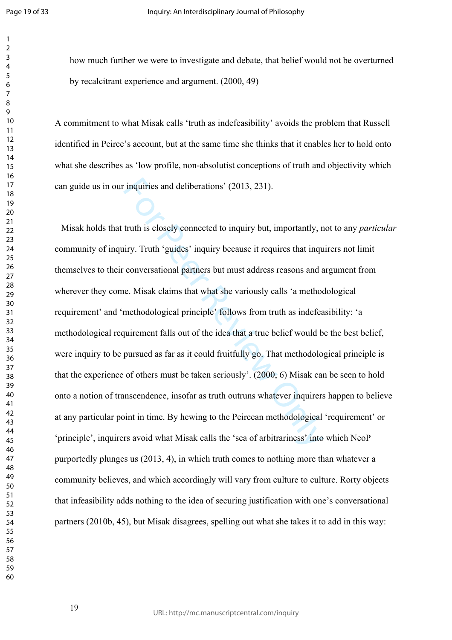$\mathbf{1}$  $\overline{2}$  $\overline{3}$ 

how much further we were to investigate and debate, that belief would not be overturned by recalcitrant experience and argument. (2000, 49)

A commitment to what Misak calls 'truth as indefeasibility' avoids the problem that Russell identified in Peirce's account, but at the same time she thinks that it enables her to hold onto what she describes as 'low profile, non-absolutist conceptions of truth and objectivity which can guide us in our inquiries and deliberations' (2013, 231).

inquiries and deliberations' (2013, 231).<br>
truth is closely connected to inquiry but, importantly, n<br>
iry. Truth 'guides' inquiry because it requires that inqu<br>
conversational partners but must address reasons and a<br>
e. Mi Misak holds that truth is closely connected to inquiry but, importantly, not to any *particular* community of inquiry. Truth 'guides' inquiry because it requires that inquirers not limit themselves to their conversational partners but must address reasons and argument from wherever they come. Misak claims that what she variously calls 'a methodological requirement' and 'methodological principle' follows from truth as indefeasibility: 'a methodological requirement falls out of the idea that a true belief would be the best belief, were inquiry to be pursued as far as it could fruitfully go. That methodological principle is that the experience of others must be taken seriously'. (2000, 6) Misak can be seen to hold onto a notion of transcendence, insofar as truth outruns whatever inquirers happen to believe at any particular point in time. By hewing to the Peircean methodological 'requirement' or 'principle', inquirers avoid what Misak calls the 'sea of arbitrariness' into which NeoP purportedly plunges us (2013, 4), in which truth comes to nothing more than whatever a community believes, and which accordingly will vary from culture to culture. Rorty objects that infeasibility adds nothing to the idea of securing justification with one's conversational partners (2010b, 45), but Misak disagrees, spelling out what she takes it to add in this way: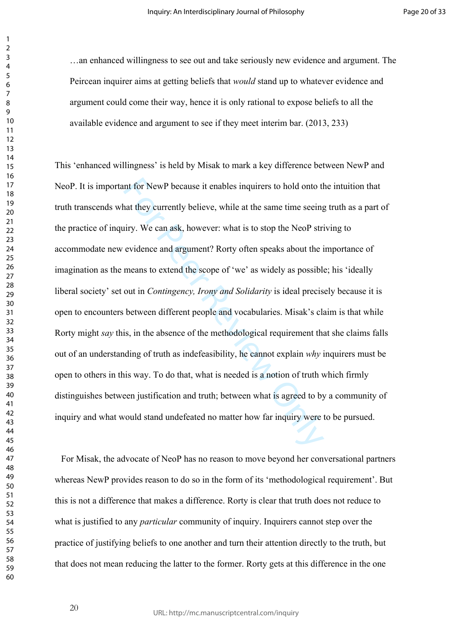Page 20 of 33

…an enhanced willingness to see out and take seriously new evidence and argument. The Peircean inquirer aims at getting beliefs that *would* stand up to whatever evidence and argument could come their way, hence it is only rational to expose beliefs to all the available evidence and argument to see if they meet interim bar. (2013, 233)

In the New P because it enables inquirers to hold onto the and they currently believe, while at the same time seeing<br>irry. We can ask, however: what is to stop the NeoP stri-<br>evidence and argument? Rorty often speaks about This 'enhanced willingness' is held by Misak to mark a key difference between NewP and NeoP. It is important for NewP because it enables inquirers to hold onto the intuition that truth transcends what they currently believe, while at the same time seeing truth as a part of the practice of inquiry. We can ask, however: what is to stop the NeoP striving to accommodate new evidence and argument? Rorty often speaks about the importance of imagination as the means to extend the scope of 'we' as widely as possible; his 'ideally liberal society' set out in *Contingency, Irony and Solidarity* is ideal precisely because it is open to encounters between different people and vocabularies. Misak's claim is that while Rorty might *say* this, in the absence of the methodological requirement that she claims falls out of an understanding of truth as indefeasibility, he cannot explain *why* inquirers must be open to others in this way. To do that, what is needed is a notion of truth which firmly distinguishes between justification and truth; between what is agreed to by a community of inquiry and what would stand undefeated no matter how far inquiry were to be pursued.

For Misak, the advocate of NeoP has no reason to move beyond her conversational partners whereas NewP provides reason to do so in the form of its 'methodological requirement'. But this is not a difference that makes a difference. Rorty is clear that truth does not reduce to what is justified to any *particular* community of inquiry. Inquirers cannot step over the practice of justifying beliefs to one another and turn their attention directly to the truth, but that does not mean reducing the latter to the former. Rorty gets at this difference in the one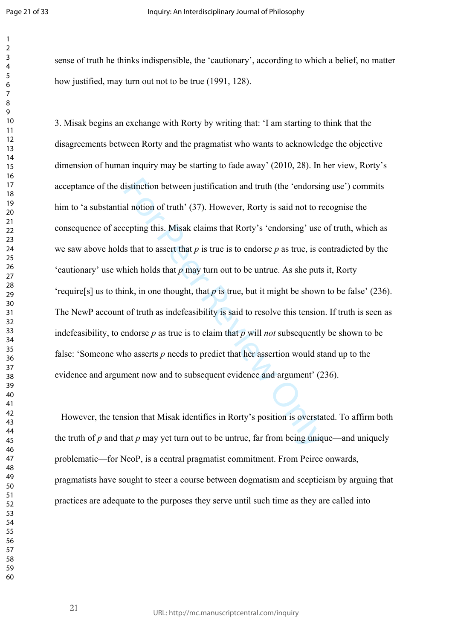$\mathbf{1}$  $\overline{2}$  $\overline{3}$  $\overline{4}$  $\overline{7}$ 

sense of truth he thinks indispensible, the 'cautionary', according to which a belief, no matter how justified, may turn out not to be true (1991, 128).

listinction between justification and truth (the 'endorsinal notion of truth' (37). However, Rorty is said not to recepting this. Misak claims that Rorty's 'endorsing' use is that to assert that  $p$  is true is to endorse 3. Misak begins an exchange with Rorty by writing that: 'I am starting to think that the disagreements between Rorty and the pragmatist who wants to acknowledge the objective dimension of human inquiry may be starting to fade away' (2010, 28). In her view, Rorty's acceptance of the distinction between justification and truth (the 'endorsing use') commits him to 'a substantial notion of truth' (37). However, Rorty is said not to recognise the consequence of accepting this. Misak claims that Rorty's 'endorsing' use of truth, which as we saw above holds that to assert that  $p$  is true is to endorse  $p$  as true, is contradicted by the 'cautionary' use which holds that *p* may turn out to be untrue. As she puts it, Rorty 'require<sup>[s]</sup> us to think, in one thought, that  $p$  is true, but it might be shown to be false' (236). The NewP account of truth as indefeasibility is said to resolve this tension. If truth is seen as indefeasibility, to endorse *p* as true is to claim that *p* will *not* subsequently be shown to be false: 'Someone who asserts p needs to predict that her assertion would stand up to the evidence and argument now and to subsequent evidence and argument' (236).

However, the tension that Misak identifies in Rorty's position is overstated. To affirm both the truth of  $p$  and that  $p$  may yet turn out to be untrue, far from being unique—and uniquely problematic—for NeoP, is a central pragmatist commitment. From Peirce onwards, pragmatists have sought to steer a course between dogmatism and scepticism by arguing that practices are adequate to the purposes they serve until such time as they are called into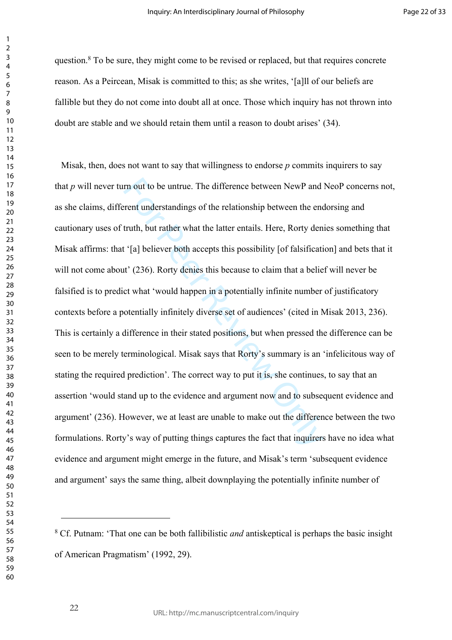question.<sup>8</sup> To be sure, they might come to be revised or replaced, but that requires concrete reason. As a Peircean, Misak is committed to this; as she writes, '[a]ll of our beliefs are fallible but they do not come into doubt all at once. Those which inquiry has not thrown into doubt are stable and we should retain them until a reason to doubt arises' (34).

rn out to be untrue. The difference between NewP and<br>rent understandings of the relationship between the enc<br>truth, but rather what the latter entails. Here, Rorty den<br>truth, but rather what the latter entails. Here, Rorty Misak, then, does not want to say that willingness to endorse *p* commits inquirers to say that *p* will never turn out to be untrue. The difference between NewP and NeoP concerns not, as she claims, different understandings of the relationship between the endorsing and cautionary uses of truth, but rather what the latter entails. Here, Rorty denies something that Misak affirms: that '[a] believer both accepts this possibility [of falsification] and bets that it will not come about' (236). Rorty denies this because to claim that a belief will never be falsified is to predict what 'would happen in a potentially infinite number of justificatory contexts before a potentially infinitely diverse set of audiences' (cited in Misak 2013, 236). This is certainly a difference in their stated positions, but when pressed the difference can be seen to be merely terminological. Misak says that Rorty's summary is an 'infelicitous way of stating the required prediction'. The correct way to put it is, she continues, to say that an assertion 'would stand up to the evidence and argument now and to subsequent evidence and argument' (236). However, we at least are unable to make out the difference between the two formulations. Rorty's way of putting things captures the fact that inquirers have no idea what evidence and argument might emerge in the future, and Misak's term 'subsequent evidence and argument' says the same thing, albeit downplaying the potentially infinite number of

 $\mathbf{1}$ 

 Cf. Putnam: 'That one can be both fallibilistic *and* antiskeptical is perhaps the basic insight of American Pragmatism' (1992, 29).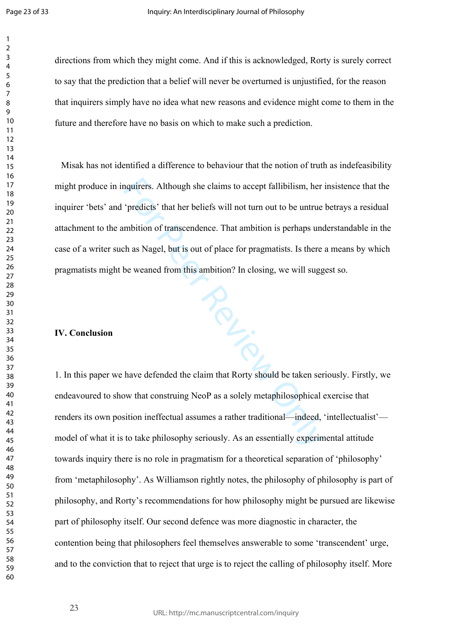$\mathbf{1}$  $\overline{2}$  $\overline{3}$  $\overline{4}$  $\overline{7}$ 

directions from which they might come. And if this is acknowledged, Rorty is surely correct to say that the prediction that a belief will never be overturned is unjustified, for the reason that inquirers simply have no idea what new reasons and evidence might come to them in the future and therefore have no basis on which to make such a prediction.

nquirers. Although she claims to accept fallibilism, her<br>
"predicts" that her beliefs will not turn out to be untrue<br>
mbition of transcendence. That ambition is perhaps unch<br>
as Nagel, but is out of place for pragmatists. Misak has not identified a difference to behaviour that the notion of truth as indefeasibility might produce in inquirers. Although she claims to accept fallibilism, her insistence that the inquirer 'bets' and 'predicts' that her beliefs will not turn out to be untrue betrays a residual attachment to the ambition of transcendence. That ambition is perhaps understandable in the case of a writer such as Nagel, but is out of place for pragmatists. Is there a means by which pragmatists might be weaned from this ambition? In closing, we will suggest so.

## **IV. Conclusion**

1. In this paper we have defended the claim that Rorty should be taken seriously. Firstly, we endeavoured to show that construing NeoP as a solely metaphilosophical exercise that renders its own position ineffectual assumes a rather traditional—indeed, 'intellectualist' model of what it is to take philosophy seriously. As an essentially experimental attitude towards inquiry there is no role in pragmatism for a theoretical separation of 'philosophy' from 'metaphilosophy'. As Williamson rightly notes, the philosophy of philosophy is part of philosophy, and Rorty's recommendations for how philosophy might be pursued are likewise part of philosophy itself. Our second defence was more diagnostic in character, the contention being that philosophers feel themselves answerable to some 'transcendent' urge, and to the conviction that to reject that urge is to reject the calling of philosophy itself. More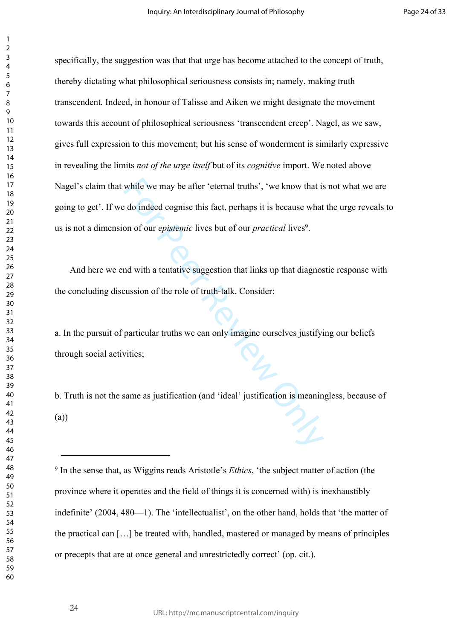while we may be after 'eternal truths', 'we know that is<br>do indeed cognise this fact, perhaps it is because what<br>on of our *epistemic* lives but of our *practical* lives<sup>9</sup>.<br>And with a tentative suggestion that links up th specifically, the suggestion was that that urge has become attached to the concept of truth, thereby dictating what philosophical seriousness consists in; namely, making truth transcendent*.* Indeed, in honour of Talisse and Aiken we might designate the movement towards this account of philosophical seriousness 'transcendent creep'. Nagel, as we saw, gives full expression to this movement; but his sense of wonderment is similarly expressive in revealing the limits *not of the urge itself* but of its *cognitive* import. We noted above Nagel's claim that while we may be after 'eternal truths', 'we know that is not what we are going to get'. If we do indeed cognise this fact, perhaps it is because what the urge reveals to us is not a dimension of our *epistemic* lives but of our *practical* lives 9 .

And here we end with a tentative suggestion that links up that diagnostic response with the concluding discussion of the role of truth-talk. Consider:

a. In the pursuit of particular truths we can only imagine ourselves justifying our beliefs through social activities;

b. Truth is not the same as justification (and 'ideal' justification is meaningless, because of (a))

 In the sense that, as Wiggins reads Aristotle's *Ethics*, 'the subject matter of action (the province where it operates and the field of things it is concerned with) is inexhaustibly indefinite' (2004, 480—1). The 'intellectualist', on the other hand, holds that 'the matter of the practical can […] be treated with, handled, mastered or managed by means of principles or precepts that are at once general and unrestrictedly correct' (op. cit.).

 $\mathbf{1}$  $\overline{2}$  $\overline{3}$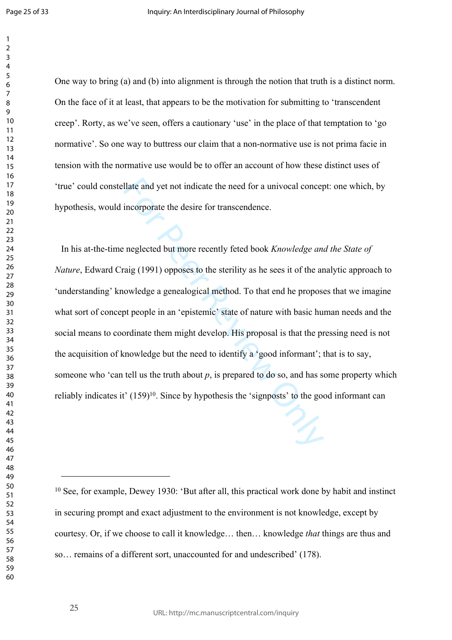One way to bring (a) and (b) into alignment is through the notion that truth is a distinct norm. On the face of it at least, that appears to be the motivation for submitting to 'transcendent creep'. Rorty, as we've seen, offers a cautionary 'use' in the place of that temptation to 'go normative'. So one way to buttress our claim that a non-normative use is not prima facie in tension with the normative use would be to offer an account of how these distinct uses of 'true' could constellate and yet not indicate the need for a univocal concept: one which, by hypothesis, would incorporate the desire for transcendence.

Ilate and yet not indicate the need for a univocal conceproduction<br>incorporate the desire for transcendence.<br>
Integral end the desire for transcendence.<br>
And the desire for transcendence.<br>
In an angle of the area owledge In his at-the-time neglected but more recently feted book *Knowledge and the State of Nature*, Edward Craig (1991) opposes to the sterility as he sees it of the analytic approach to 'understanding' knowledge a genealogical method. To that end he proposes that we imagine what sort of concept people in an 'epistemic' state of nature with basic human needs and the social means to coordinate them might develop. His proposal is that the pressing need is not the acquisition of knowledge but the need to identify a 'good informant'; that is to say, someone who 'can tell us the truth about  $p$ , is prepared to do so, and has some property which reliably indicates it' (159)<sup>10</sup>. Since by hypothesis the 'signposts' to the good informant can

 See, for example, Dewey 1930: 'But after all, this practical work done by habit and instinct in securing prompt and exact adjustment to the environment is not knowledge, except by courtesy. Or, if we choose to call it knowledge… then… knowledge *that* things are thus and so… remains of a different sort, unaccounted for and undescribed' (178).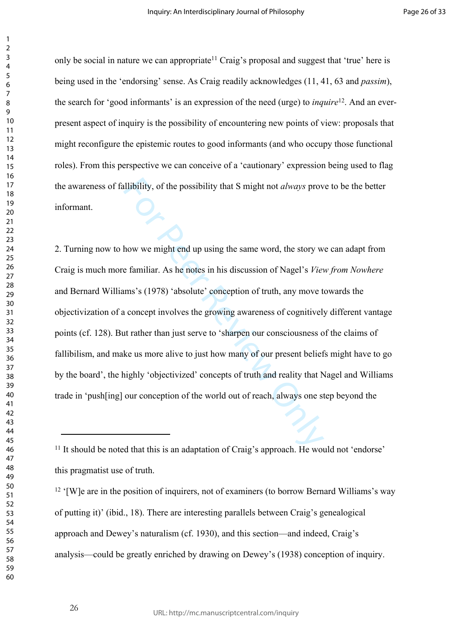only be social in nature we can appropriate<sup>11</sup> Craig's proposal and suggest that 'true' here is being used in the 'endorsing' sense. As Craig readily acknowledges (11, 41, 63 and *passim*), the search for 'good informants' is an expression of the need (urge) to *inquire*12. And an everpresent aspect of inquiry is the possibility of encountering new points of view: proposals that might reconfigure the epistemic routes to good informants (and who occupy those functional roles). From this perspective we can conceive of a 'cautionary' expression being used to flag the awareness of fallibility, of the possibility that S might not *always* prove to be the better informant.

Illibility, of the possibility that S might not *always* prov<br>
how we might end up using the same word, the story w<br>
familiar. As he notes in his discussion of Nagel's *Vier*<br>
ims's (1978) 'absolute' conception of truth, a 2. Turning now to how we might end up using the same word, the story we can adapt from Craig is much more familiar. As he notes in his discussion of Nagel's *View from Nowhere* and Bernard Williams's (1978) 'absolute' conception of truth, any move towards the objectivization of a concept involves the growing awareness of cognitively different vantage points (cf. 128). But rather than just serve to 'sharpen our consciousness of the claims of fallibilism, and make us more alive to just how many of our present beliefs might have to go by the board', the highly 'objectivized' concepts of truth and reality that Nagel and Williams trade in 'push[ing] our conception of the world out of reach, always one step beyond the

 '[W]e are in the position of inquirers, not of examiners (to borrow Bernard Williams's way of putting it)' (ibid., 18). There are interesting parallels between Craig's genealogical approach and Dewey's naturalism (cf. 1930), and this section—and indeed, Craig's analysis—could be greatly enriched by drawing on Dewey's (1938) conception of inquiry.

 $\mathbf{1}$  $\overline{2}$ 

 It should be noted that this is an adaptation of Craig's approach. He would not 'endorse' this pragmatist use of truth.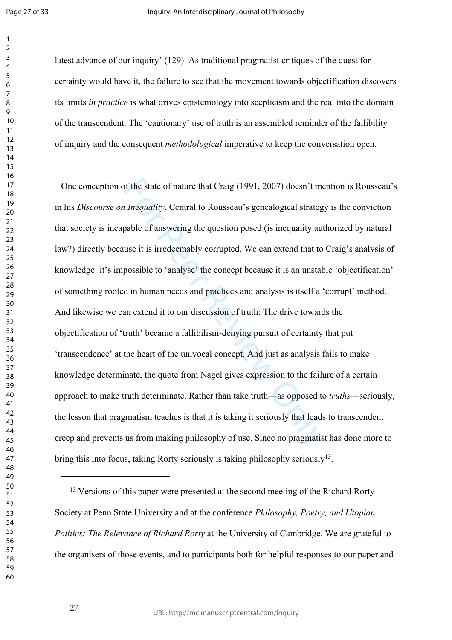latest advance of our inquiry' (129). As traditional pragmatist critiques of the quest for certainty would have it, the failure to see that the movement towards objectification discovers its limits *in practice* is what drives epistemology into scepticism and the real into the domain of the transcendent. The 'cautionary' use of truth is an assembled reminder of the fallibility of inquiry and the consequent *methodological* imperative to keep the conversation open.

of the state of nature that Craig (1991, 2007) doesn't me<br> *I Inequality*. Central to Rousseau's genealogical strateg<br>
pable of answering the question posed (is inequality aut<br>
use it is irredeemably corrupted. We can exte One conception of the state of nature that Craig (1991, 2007) doesn't mention is Rousseau's in his *Discourse on Inequality*. Central to Rousseau's genealogical strategy is the conviction that society is incapable of answering the question posed (is inequality authorized by natural law?) directly because it is irredeemably corrupted. We can extend that to Craig's analysis of knowledge: it's impossible to 'analyse' the concept because it is an unstable 'objectification' of something rooted in human needs and practices and analysis is itself a 'corrupt' method. And likewise we can extend it to our discussion of truth: The drive towards the objectification of 'truth' became a fallibilism-denying pursuit of certainty that put 'transcendence' at the heart of the univocal concept. And just as analysis fails to make knowledge determinate, the quote from Nagel gives expression to the failure of a certain approach to make truth determinate. Rather than take truth—as opposed to *truths*—seriously, the lesson that pragmatism teaches is that it is taking it seriously that leads to transcendent creep and prevents us from making philosophy of use. Since no pragmatist has done more to bring this into focus, taking Rorty seriously is taking philosophy seriously<sup>13</sup>.

<sup>13</sup> Versions of this paper were presented at the second meeting of the Richard Rorty Society at Penn State University and at the conference *Philosophy, Poetry, and Utopian Politics: The Relevance of Richard Rorty* at the University of Cambridge. We are grateful to the organisers of those events, and to participants both for helpful responses to our paper and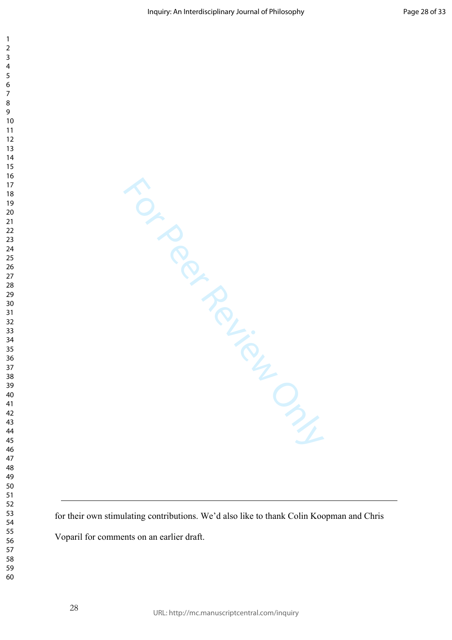For Per Review Only

for their own stimulating contributions. We'd also like to thank Colin Koopman and Chris Voparil for comments on an earlier draft.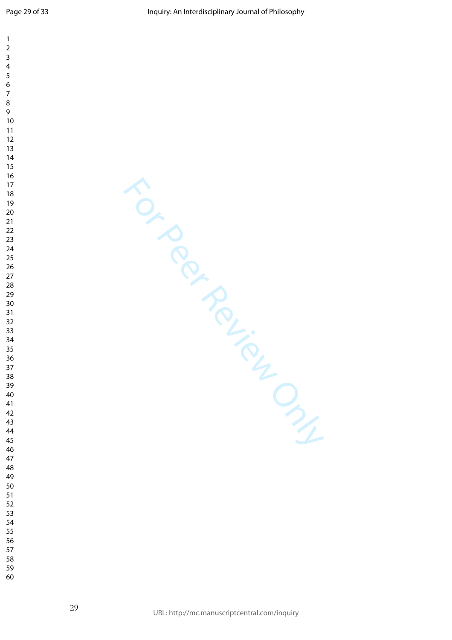| 123456789011234567890122222223333333339044444444901223456789011234567890123444444440555 |                       |
|-----------------------------------------------------------------------------------------|-----------------------|
|                                                                                         |                       |
|                                                                                         |                       |
|                                                                                         |                       |
|                                                                                         |                       |
|                                                                                         |                       |
|                                                                                         |                       |
|                                                                                         |                       |
|                                                                                         |                       |
|                                                                                         | $\blacktriangleright$ |
|                                                                                         |                       |
|                                                                                         |                       |
|                                                                                         | In the                |
|                                                                                         |                       |
|                                                                                         |                       |
|                                                                                         |                       |
|                                                                                         |                       |
|                                                                                         |                       |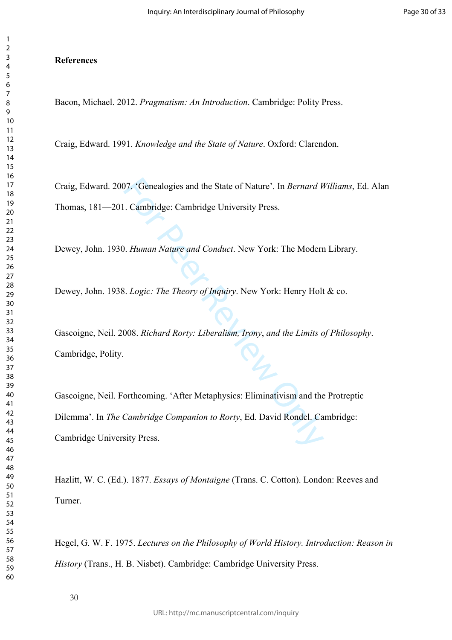Bacon, Michael. 2012. *Pragmatism: An Introduction*. Cambridge: Polity Press.

Craig, Edward. 1991. *Knowledge and the State of Nature*. Oxford: Clarendon.

Craig, Edward. 2007. 'Genealogies and the State of Nature'. In *Bernard Williams*, Ed. Alan Thomas, 181—201. Cambridge: Cambridge University Press.

Dewey, John. 1930. *Human Nature and Conduct*. New York: The Modern Library.

Dewey, John. 1938. *Logic: The Theory of Inquiry*. New York: Henry Holt & co.

Gascoigne, Neil. 2008. *Richard Rorty: Liberalism, Irony*, *and the Limits of Philosophy*. Cambridge, Polity.

17. 'Genealogies and the State of Nature'. In *Bernard W*<br>
1. Cambridge: Cambridge University Press.<br>
1. *Human Nature and Conduct*. New York: The Modern<br>
1. *Logic: The Theory of Inquiry*. New York: Henry Holt<br>
1. *Logic:* Gascoigne, Neil. Forthcoming. 'After Metaphysics: Eliminativism and the Protreptic Dilemma'. In *The Cambridge Companion to Rorty*, Ed. David Rondel. Cambridge: Cambridge University Press.

Hazlitt, W. C. (Ed.). 1877. *Essays of Montaigne* (Trans. C. Cotton). London: Reeves and Turner.

Hegel, G. W. F. 1975. *Lectures on the Philosophy of World History. Introduction: Reason in History* (Trans., H. B. Nisbet). Cambridge: Cambridge University Press.

 $\mathbf{1}$  $\overline{2}$  $\overline{3}$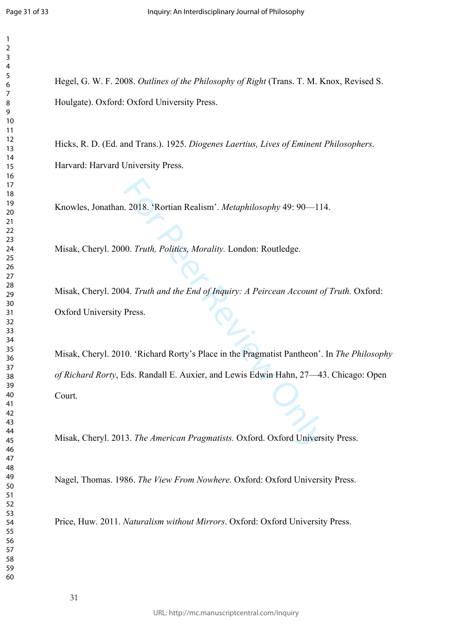$\mathbf{1}$  $\overline{2}$  $\overline{4}$ 

Hegel, G. W. F. 2008. *Outlines of the Philosophy of Right* (Trans. T. M. Knox, Revised S. Houlgate). Oxford: Oxford University Press.

Hicks, R. D. (Ed. and Trans.). 1925. *Diogenes Laertius, Lives of Eminent Philosophers*. Harvard: Harvard University Press.

Knowles, Jonathan. 2018. 'Rortian Realism'. *Metaphilosophy* 49: 90—114.

Misak, Cheryl. 2000. *Truth, Politics, Morality.* London: Routledge.

Misak, Cheryl. 2004. *Truth and the End of Inquiry: A Peircean Account of Truth.* Oxford: Oxford University Press.

9. 2018. 'Rortian Realism'. *Metaphilosophy* 49: 90—11.<br>
10. *Truth, Politics, Morality.* London: Routledge.<br>
14. *Truth and the End of Inquiry: A Peircean Account of*<br>
14. *Truth and the End of Inquiry: A Peircean Account* Misak, Cheryl. 2010. 'Richard Rorty's Place in the Pragmatist Pantheon'. In *The Philosophy of Richard Rorty*, Eds. Randall E. Auxier, and Lewis Edwin Hahn, 27—43. Chicago: Open Court.

Misak, Cheryl. 2013. *The American Pragmatists.* Oxford. Oxford University Press.

Nagel, Thomas. 1986. *The View From Nowhere.* Oxford: Oxford University Press.

Price, Huw. 2011. *Naturalism without Mirrors*. Oxford: Oxford University Press.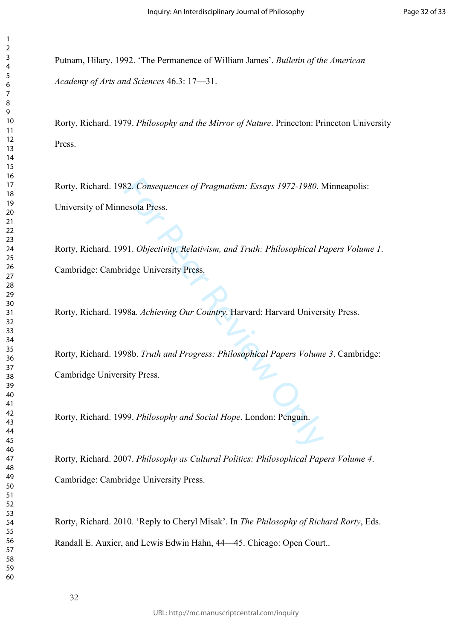Putnam, Hilary. 1992. 'The Permanence of William James'. *Bulletin of the American Academy of Arts and Sciences* 46.3: 17—31.

Rorty, Richard. 1979. *Philosophy and the Mirror of Nature*. Princeton: Princeton University Press.

1972-1980.<br>
Same Press.<br>
Hesota Press.<br>
1991. *Objectivity, Relativism, and Truth: Philosophical Prodige University Press.*<br>
1998. *Achieving Our Country.* Harvard: Harvard Univers<br>
1998. *Truth and Progress: Philosophical* Rorty, Richard. 1982. *Consequences of Pragmatism: Essays 1972-1980*. Minneapolis: University of Minnesota Press.

Rorty, Richard. 1991. *Objectivity, Relativism, and Truth: Philosophical Papers Volume 1*. Cambridge: Cambridge University Press.

Rorty, Richard. 1998a. *Achieving Our Country*. Harvard: Harvard University Press.

Rorty, Richard. 1998b. *Truth and Progress: Philosophical Papers Volume 3*. Cambridge: Cambridge University Press.

Rorty, Richard. 1999. *Philosophy and Social Hope*. London: Penguin.

Rorty, Richard. 2007. *Philosophy as Cultural Politics: Philosophical Papers Volume 4*. Cambridge: Cambridge University Press.

Rorty, Richard. 2010. 'Reply to Cheryl Misak'. In *The Philosophy of Richard Rorty*, Eds. Randall E. Auxier, and Lewis Edwin Hahn, 44—45. Chicago: Open Court..